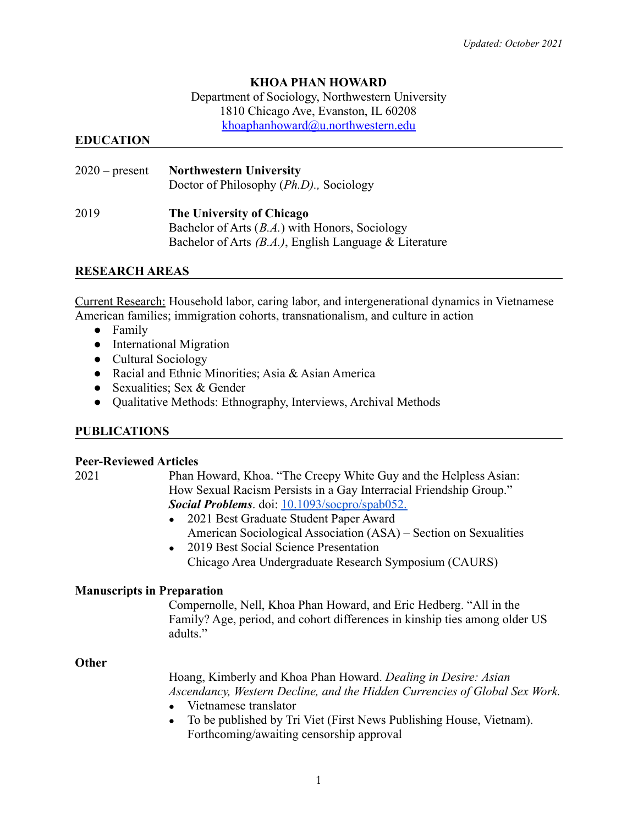*Updated: October 2021*

### **KHOA PHAN HOWARD**

Department of Sociology, Northwestern University 1810 Chicago Ave, Evanston, IL 60208 [khoaphanhoward@u.northwestern.edu](mailto:khoaphanhoward@u.northwestern.edu)

#### **EDUCATION**

| $2020$ – present | <b>Northwestern University</b><br>Doctor of Philosophy ( <i>Ph.D</i> )., Sociology |
|------------------|------------------------------------------------------------------------------------|
| 2019             | The University of Chicago                                                          |
|                  | Bachelor of Arts $(B.A.)$ with Honors, Sociology                                   |
|                  | Bachelor of Arts $(B.A.)$ , English Language & Literature                          |

#### **RESEARCH AREAS**

Current Research: Household labor, caring labor, and intergenerational dynamics in Vietnamese American families; immigration cohorts, transnationalism, and culture in action

- Family
- International Migration
- Cultural Sociology
- Racial and Ethnic Minorities; Asia & Asian America
- Sexualities; Sex & Gender
- Qualitative Methods: Ethnography, Interviews, Archival Methods

#### **PUBLICATIONS**

#### **Peer-Reviewed Articles**

- 2021 Phan Howard, Khoa. "The Creepy White Guy and the Helpless Asian: How Sexual Racism Persists in a Gay Interracial Friendship Group." *Social Problems*. doi: [10.1093/socpro/spab052.](https://academic.oup.com/socpro/advance-article-abstract/doi/10.1093/socpro/spab052/6366497)
	- 2021 Best Graduate Student Paper Award American Sociological Association (ASA) – Section on Sexualities
	- 2019 Best Social Science Presentation Chicago Area Undergraduate Research Symposium (CAURS)

#### **Manuscripts in Preparation**

Compernolle, Nell, Khoa Phan Howard, and Eric Hedberg. "All in the Family? Age, period, and cohort differences in kinship ties among older US adults."

#### **Other**

Hoang, Kimberly and Khoa Phan Howard. *Dealing in Desire: Asian Ascendancy, Western Decline, and the Hidden Currencies of Global Sex Work.*

- Vietnamese translator
- To be published by Tri Viet (First News Publishing House, Vietnam). Forthcoming/awaiting censorship approval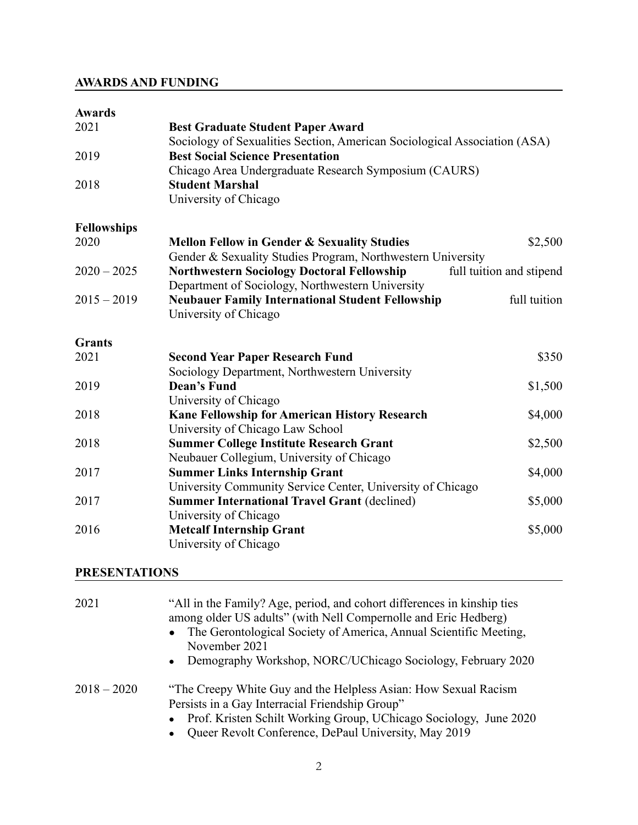# **AWARDS AND FUNDING**

## **Awards**

| 2021               | <b>Best Graduate Student Paper Award</b><br>Sociology of Sexualities Section, American Sociological Association (ASA) |                          |
|--------------------|-----------------------------------------------------------------------------------------------------------------------|--------------------------|
| 2019               | <b>Best Social Science Presentation</b>                                                                               |                          |
|                    | Chicago Area Undergraduate Research Symposium (CAURS)                                                                 |                          |
| 2018               | <b>Student Marshal</b>                                                                                                |                          |
|                    | University of Chicago                                                                                                 |                          |
| <b>Fellowships</b> |                                                                                                                       |                          |
| 2020               | <b>Mellon Fellow in Gender &amp; Sexuality Studies</b>                                                                | \$2,500                  |
|                    | Gender & Sexuality Studies Program, Northwestern University                                                           |                          |
| $2020 - 2025$      | <b>Northwestern Sociology Doctoral Fellowship</b>                                                                     | full tuition and stipend |
|                    | Department of Sociology, Northwestern University                                                                      |                          |
| $2015 - 2019$      | <b>Neubauer Family International Student Fellowship</b>                                                               | full tuition             |
|                    | University of Chicago                                                                                                 |                          |
| <b>Grants</b>      |                                                                                                                       |                          |
| 2021               | <b>Second Year Paper Research Fund</b>                                                                                | \$350                    |
|                    | Sociology Department, Northwestern University                                                                         |                          |
| 2019               | <b>Dean's Fund</b>                                                                                                    | \$1,500                  |
|                    | University of Chicago                                                                                                 |                          |
| 2018               | Kane Fellowship for American History Research                                                                         | \$4,000                  |
|                    | University of Chicago Law School                                                                                      |                          |
| 2018               | <b>Summer College Institute Research Grant</b>                                                                        | \$2,500                  |
|                    | Neubauer Collegium, University of Chicago                                                                             |                          |
| 2017               | <b>Summer Links Internship Grant</b>                                                                                  | \$4,000                  |
|                    | University Community Service Center, University of Chicago                                                            |                          |
| 2017               | <b>Summer International Travel Grant (declined)</b>                                                                   | \$5,000                  |
|                    | University of Chicago                                                                                                 |                          |
| 2016               | <b>Metcalf Internship Grant</b>                                                                                       | \$5,000                  |
|                    | University of Chicago                                                                                                 |                          |

## **PRESENTATIONS**

| 2021          | "All in the Family? Age, period, and cohort differences in kinship ties<br>among older US adults" (with Nell Compernolle and Eric Hedberg)<br>• The Gerontological Society of America, Annual Scientific Meeting,<br>November 2021<br>• Demography Workshop, NORC/UChicago Sociology, February 2020 |
|---------------|-----------------------------------------------------------------------------------------------------------------------------------------------------------------------------------------------------------------------------------------------------------------------------------------------------|
| $2018 - 2020$ | "The Creepy White Guy and the Helpless Asian: How Sexual Racism<br>Persists in a Gay Interracial Friendship Group"<br>• Prof. Kristen Schilt Working Group, UChicago Sociology, June 2020<br>Queer Revolt Conference, DePaul University, May 2019                                                   |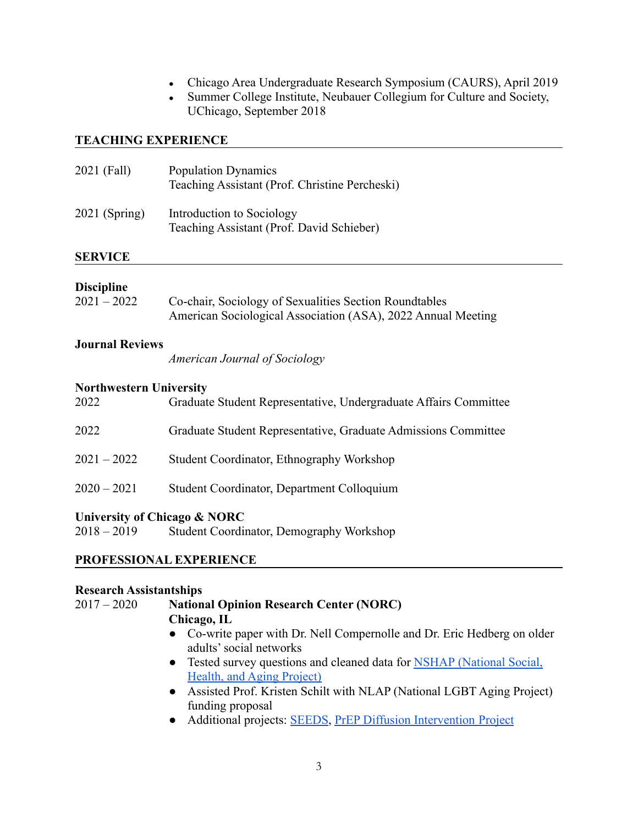- Chicago Area Undergraduate Research Symposium (CAURS), April 2019
- Summer College Institute, Neubauer Collegium for Culture and Society, UChicago, September 2018

### **TEACHING EXPERIENCE**

| 2021 (Fall)     | <b>Population Dynamics</b><br>Teaching Assistant (Prof. Christine Percheski) |
|-----------------|------------------------------------------------------------------------------|
| $2021$ (Spring) | Introduction to Sociology<br>Teaching Assistant (Prof. David Schieber)       |
|                 |                                                                              |

#### **SERVICE**

### **Discipline**

| $2021 - 2022$ | Co-chair, Sociology of Sexualities Section Roundtables       |
|---------------|--------------------------------------------------------------|
|               | American Sociological Association (ASA), 2022 Annual Meeting |

#### **Journal Reviews**

*American Journal of Sociology*

#### **Northwestern University**

| 2022          | Graduate Student Representative, Undergraduate Affairs Committee |
|---------------|------------------------------------------------------------------|
| 2022          | Graduate Student Representative, Graduate Admissions Committee   |
| $2021 - 2022$ | Student Coordinator, Ethnography Workshop                        |
| $2020 - 2021$ | Student Coordinator, Department Colloquium                       |
|               |                                                                  |

#### **University of Chicago & NORC**

2018 – 2019 Student Coordinator, Demography Workshop

## **PROFESSIONAL EXPERIENCE**

#### **Research Assistantships**

#### 2017 – 2020 **National Opinion Research Center (NORC)**

# **Chicago, IL**

- Co-write paper with Dr. Nell Compernolle and Dr. Eric Hedberg on older adults' social networks
- Tested survey questions and cleaned data for NSHAP [\(National Social,](https://www.nia.nih.gov/research/resource/national-social-life-health-and-aging-project-nshap) [Health, and Aging Project\)](https://www.nia.nih.gov/research/resource/national-social-life-health-and-aging-project-nshap)
- Assisted Prof. Kristen Schilt with NLAP (National LGBT Aging Project) funding proposal
- Additional projects: **[SEEDS](https://www.norc.org/Research/Projects/Pages/norc-rainin-foundation-early-childhood-collaboration.aspx)**, [PrEP Diffusion Intervention](https://www.norc.org/Research/Projects/Pages/context-matters-community-factors-in-the-sustainable-health-center-implementation-prep-pilot-study.aspx) Project